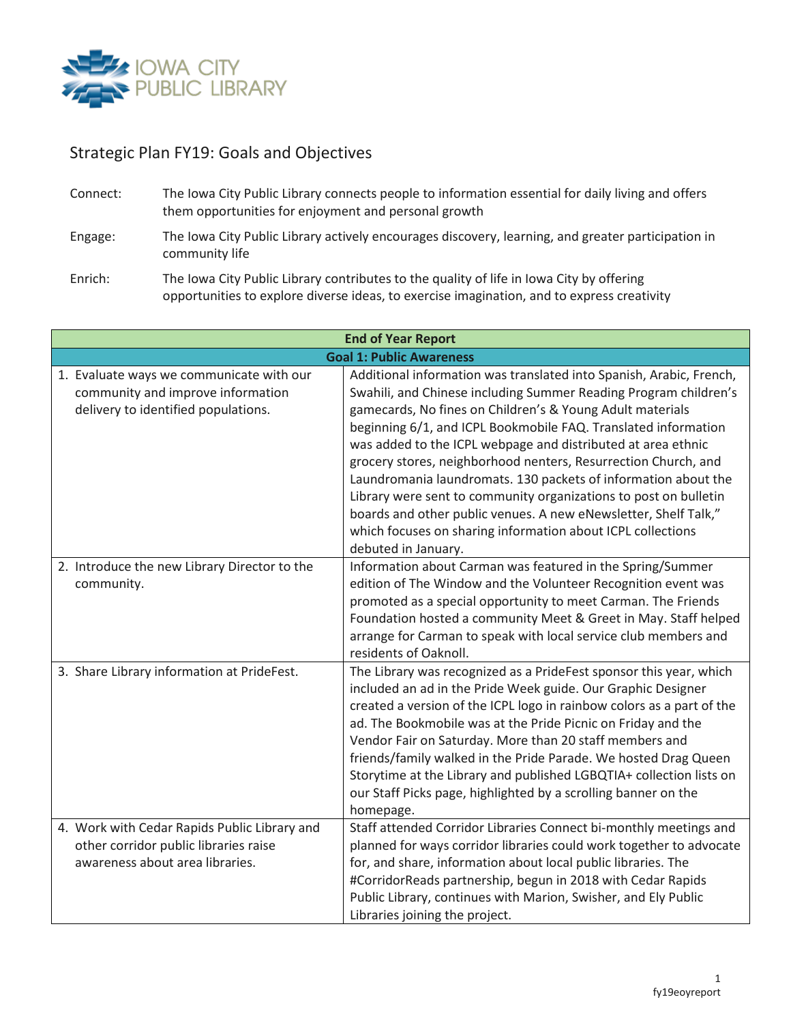

## Strategic Plan FY19: Goals and Objectives

- Connect: The Iowa City Public Library connects people to information essential for daily living and offers them opportunities for enjoyment and personal growth
- Engage: The Iowa City Public Library actively encourages discovery, learning, and greater participation in community life
- Enrich: The Iowa City Public Library contributes to the quality of life in Iowa City by offering opportunities to explore diverse ideas, to exercise imagination, and to express creativity

| <b>End of Year Report</b>                                                                                                |                                                                                                                                                                                                                                                                                                                                                                                                                                                                                                                                                                                                                                                                                                         |
|--------------------------------------------------------------------------------------------------------------------------|---------------------------------------------------------------------------------------------------------------------------------------------------------------------------------------------------------------------------------------------------------------------------------------------------------------------------------------------------------------------------------------------------------------------------------------------------------------------------------------------------------------------------------------------------------------------------------------------------------------------------------------------------------------------------------------------------------|
| <b>Goal 1: Public Awareness</b>                                                                                          |                                                                                                                                                                                                                                                                                                                                                                                                                                                                                                                                                                                                                                                                                                         |
| 1. Evaluate ways we communicate with our<br>community and improve information<br>delivery to identified populations.     | Additional information was translated into Spanish, Arabic, French,<br>Swahili, and Chinese including Summer Reading Program children's<br>gamecards, No fines on Children's & Young Adult materials<br>beginning 6/1, and ICPL Bookmobile FAQ. Translated information<br>was added to the ICPL webpage and distributed at area ethnic<br>grocery stores, neighborhood nenters, Resurrection Church, and<br>Laundromania laundromats. 130 packets of information about the<br>Library were sent to community organizations to post on bulletin<br>boards and other public venues. A new eNewsletter, Shelf Talk,"<br>which focuses on sharing information about ICPL collections<br>debuted in January. |
| 2. Introduce the new Library Director to the<br>community.                                                               | Information about Carman was featured in the Spring/Summer<br>edition of The Window and the Volunteer Recognition event was<br>promoted as a special opportunity to meet Carman. The Friends<br>Foundation hosted a community Meet & Greet in May. Staff helped<br>arrange for Carman to speak with local service club members and<br>residents of Oaknoll.                                                                                                                                                                                                                                                                                                                                             |
| 3. Share Library information at PrideFest.                                                                               | The Library was recognized as a PrideFest sponsor this year, which<br>included an ad in the Pride Week guide. Our Graphic Designer<br>created a version of the ICPL logo in rainbow colors as a part of the<br>ad. The Bookmobile was at the Pride Picnic on Friday and the<br>Vendor Fair on Saturday. More than 20 staff members and<br>friends/family walked in the Pride Parade. We hosted Drag Queen<br>Storytime at the Library and published LGBQTIA+ collection lists on<br>our Staff Picks page, highlighted by a scrolling banner on the<br>homepage.                                                                                                                                         |
| 4. Work with Cedar Rapids Public Library and<br>other corridor public libraries raise<br>awareness about area libraries. | Staff attended Corridor Libraries Connect bi-monthly meetings and<br>planned for ways corridor libraries could work together to advocate<br>for, and share, information about local public libraries. The<br>#CorridorReads partnership, begun in 2018 with Cedar Rapids<br>Public Library, continues with Marion, Swisher, and Ely Public<br>Libraries joining the project.                                                                                                                                                                                                                                                                                                                            |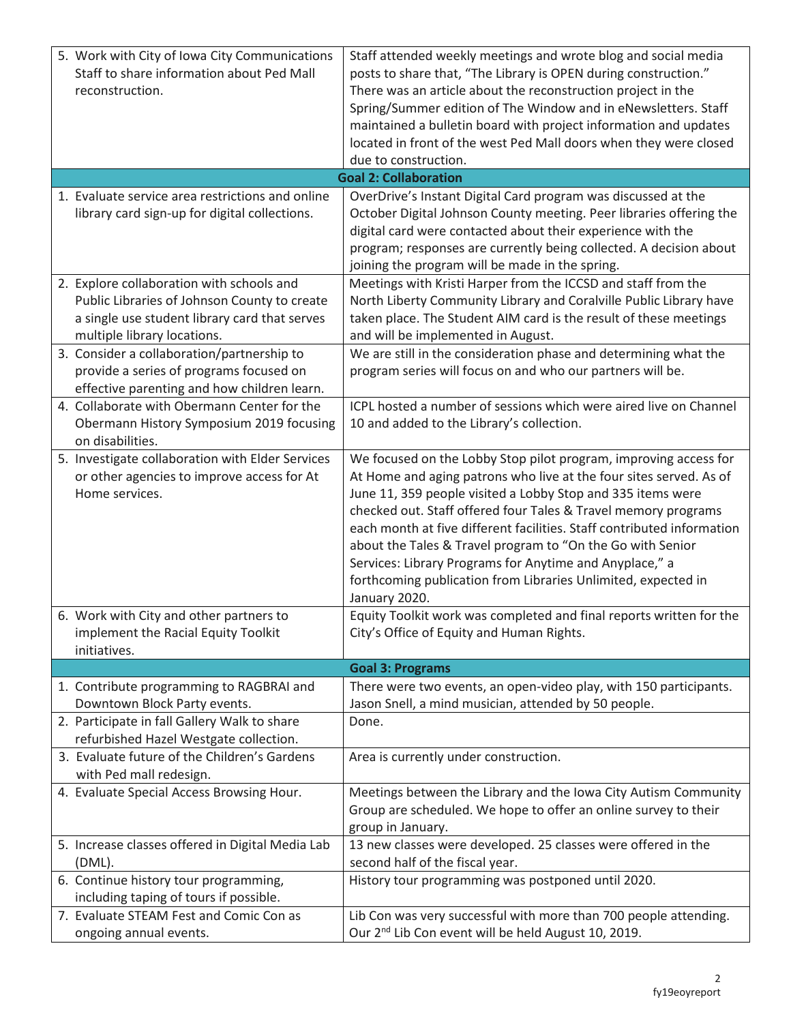| 5. Work with City of Iowa City Communications                                                                                                     | Staff attended weekly meetings and wrote blog and social media                                                                |  |
|---------------------------------------------------------------------------------------------------------------------------------------------------|-------------------------------------------------------------------------------------------------------------------------------|--|
| Staff to share information about Ped Mall                                                                                                         | posts to share that, "The Library is OPEN during construction."                                                               |  |
| reconstruction.                                                                                                                                   | There was an article about the reconstruction project in the                                                                  |  |
|                                                                                                                                                   | Spring/Summer edition of The Window and in eNewsletters. Staff                                                                |  |
|                                                                                                                                                   | maintained a bulletin board with project information and updates                                                              |  |
|                                                                                                                                                   | located in front of the west Ped Mall doors when they were closed                                                             |  |
|                                                                                                                                                   | due to construction.                                                                                                          |  |
| <b>Goal 2: Collaboration</b><br>1. Evaluate service area restrictions and online<br>OverDrive's Instant Digital Card program was discussed at the |                                                                                                                               |  |
| library card sign-up for digital collections.                                                                                                     | October Digital Johnson County meeting. Peer libraries offering the                                                           |  |
|                                                                                                                                                   | digital card were contacted about their experience with the                                                                   |  |
|                                                                                                                                                   | program; responses are currently being collected. A decision about                                                            |  |
|                                                                                                                                                   | joining the program will be made in the spring.                                                                               |  |
| 2. Explore collaboration with schools and                                                                                                         | Meetings with Kristi Harper from the ICCSD and staff from the                                                                 |  |
| Public Libraries of Johnson County to create                                                                                                      | North Liberty Community Library and Coralville Public Library have                                                            |  |
| a single use student library card that serves                                                                                                     | taken place. The Student AIM card is the result of these meetings                                                             |  |
| multiple library locations.                                                                                                                       | and will be implemented in August.                                                                                            |  |
| 3. Consider a collaboration/partnership to                                                                                                        | We are still in the consideration phase and determining what the                                                              |  |
| provide a series of programs focused on                                                                                                           | program series will focus on and who our partners will be.                                                                    |  |
| effective parenting and how children learn.                                                                                                       |                                                                                                                               |  |
| 4. Collaborate with Obermann Center for the                                                                                                       | ICPL hosted a number of sessions which were aired live on Channel                                                             |  |
| Obermann History Symposium 2019 focusing                                                                                                          | 10 and added to the Library's collection.                                                                                     |  |
| on disabilities.                                                                                                                                  |                                                                                                                               |  |
| 5. Investigate collaboration with Elder Services                                                                                                  | We focused on the Lobby Stop pilot program, improving access for                                                              |  |
| or other agencies to improve access for At                                                                                                        | At Home and aging patrons who live at the four sites served. As of                                                            |  |
| Home services.                                                                                                                                    | June 11, 359 people visited a Lobby Stop and 335 items were<br>checked out. Staff offered four Tales & Travel memory programs |  |
|                                                                                                                                                   | each month at five different facilities. Staff contributed information                                                        |  |
|                                                                                                                                                   | about the Tales & Travel program to "On the Go with Senior                                                                    |  |
|                                                                                                                                                   | Services: Library Programs for Anytime and Anyplace," a                                                                       |  |
|                                                                                                                                                   | forthcoming publication from Libraries Unlimited, expected in                                                                 |  |
|                                                                                                                                                   | January 2020.                                                                                                                 |  |
| 6. Work with City and other partners to                                                                                                           | Equity Toolkit work was completed and final reports written for the                                                           |  |
| implement the Racial Equity Toolkit                                                                                                               | City's Office of Equity and Human Rights.                                                                                     |  |
| initiatives.                                                                                                                                      |                                                                                                                               |  |
|                                                                                                                                                   | <b>Goal 3: Programs</b>                                                                                                       |  |
| 1. Contribute programming to RAGBRAI and                                                                                                          | There were two events, an open-video play, with 150 participants.                                                             |  |
| Downtown Block Party events.                                                                                                                      | Jason Snell, a mind musician, attended by 50 people.                                                                          |  |
| 2. Participate in fall Gallery Walk to share                                                                                                      | Done.                                                                                                                         |  |
| refurbished Hazel Westgate collection.<br>3. Evaluate future of the Children's Gardens                                                            | Area is currently under construction.                                                                                         |  |
| with Ped mall redesign.                                                                                                                           |                                                                                                                               |  |
| 4. Evaluate Special Access Browsing Hour.                                                                                                         | Meetings between the Library and the Iowa City Autism Community                                                               |  |
|                                                                                                                                                   | Group are scheduled. We hope to offer an online survey to their                                                               |  |
|                                                                                                                                                   | group in January.                                                                                                             |  |
| 5. Increase classes offered in Digital Media Lab                                                                                                  | 13 new classes were developed. 25 classes were offered in the                                                                 |  |
| (DML).                                                                                                                                            | second half of the fiscal year.                                                                                               |  |
| 6. Continue history tour programming,                                                                                                             | History tour programming was postponed until 2020.                                                                            |  |
| including taping of tours if possible.                                                                                                            |                                                                                                                               |  |
| 7. Evaluate STEAM Fest and Comic Con as                                                                                                           | Lib Con was very successful with more than 700 people attending.                                                              |  |
| ongoing annual events.                                                                                                                            | Our 2 <sup>nd</sup> Lib Con event will be held August 10, 2019.                                                               |  |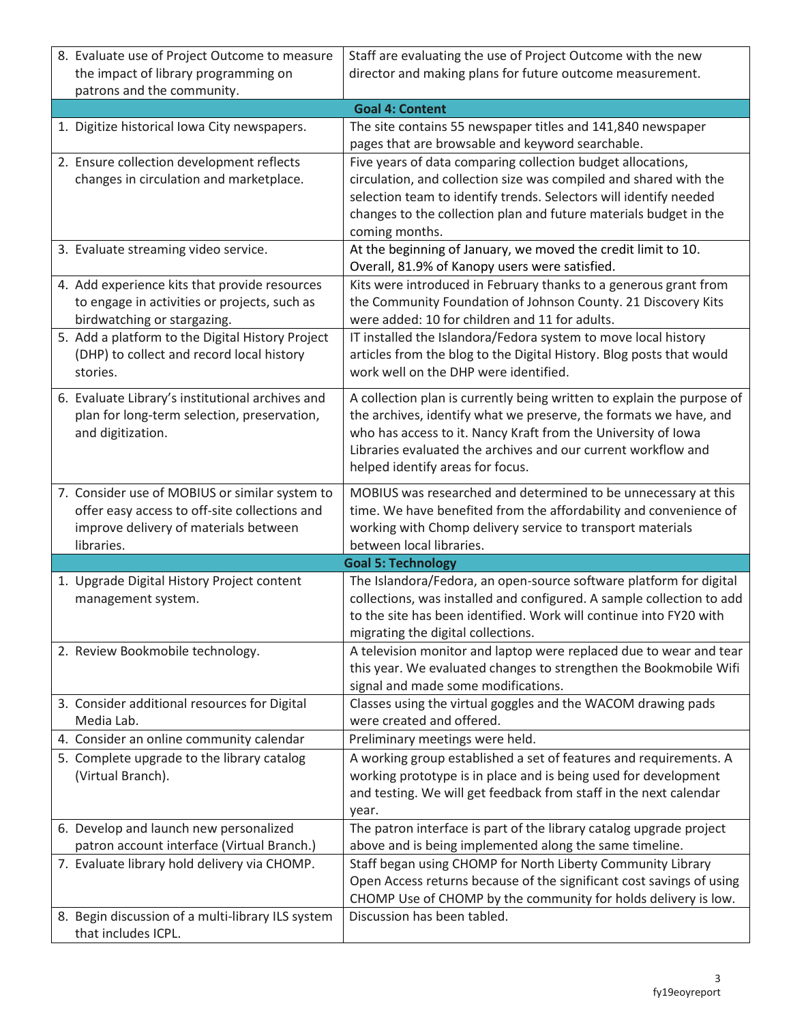| 8. Evaluate use of Project Outcome to measure                                                                                                                                    | Staff are evaluating the use of Project Outcome with the new                                                                                                                                                                                                                                                      |
|----------------------------------------------------------------------------------------------------------------------------------------------------------------------------------|-------------------------------------------------------------------------------------------------------------------------------------------------------------------------------------------------------------------------------------------------------------------------------------------------------------------|
| the impact of library programming on                                                                                                                                             | director and making plans for future outcome measurement.                                                                                                                                                                                                                                                         |
| patrons and the community.                                                                                                                                                       |                                                                                                                                                                                                                                                                                                                   |
|                                                                                                                                                                                  | <b>Goal 4: Content</b>                                                                                                                                                                                                                                                                                            |
| 1. Digitize historical lowa City newspapers.                                                                                                                                     | The site contains 55 newspaper titles and 141,840 newspaper<br>pages that are browsable and keyword searchable.                                                                                                                                                                                                   |
| 2. Ensure collection development reflects<br>changes in circulation and marketplace.                                                                                             | Five years of data comparing collection budget allocations,<br>circulation, and collection size was compiled and shared with the<br>selection team to identify trends. Selectors will identify needed<br>changes to the collection plan and future materials budget in the<br>coming months.                      |
| 3. Evaluate streaming video service.                                                                                                                                             | At the beginning of January, we moved the credit limit to 10.<br>Overall, 81.9% of Kanopy users were satisfied.                                                                                                                                                                                                   |
| 4. Add experience kits that provide resources<br>to engage in activities or projects, such as<br>birdwatching or stargazing.<br>5. Add a platform to the Digital History Project | Kits were introduced in February thanks to a generous grant from<br>the Community Foundation of Johnson County. 21 Discovery Kits<br>were added: 10 for children and 11 for adults.<br>IT installed the Islandora/Fedora system to move local history                                                             |
| (DHP) to collect and record local history<br>stories.                                                                                                                            | articles from the blog to the Digital History. Blog posts that would<br>work well on the DHP were identified.                                                                                                                                                                                                     |
| 6. Evaluate Library's institutional archives and<br>plan for long-term selection, preservation,<br>and digitization.                                                             | A collection plan is currently being written to explain the purpose of<br>the archives, identify what we preserve, the formats we have, and<br>who has access to it. Nancy Kraft from the University of Iowa<br>Libraries evaluated the archives and our current workflow and<br>helped identify areas for focus. |
| 7. Consider use of MOBIUS or similar system to<br>offer easy access to off-site collections and<br>improve delivery of materials between<br>libraries.                           | MOBIUS was researched and determined to be unnecessary at this<br>time. We have benefited from the affordability and convenience of<br>working with Chomp delivery service to transport materials<br>between local libraries.                                                                                     |
|                                                                                                                                                                                  | <b>Goal 5: Technology</b>                                                                                                                                                                                                                                                                                         |
| 1. Upgrade Digital History Project content<br>management system.                                                                                                                 | The Islandora/Fedora, an open-source software platform for digital<br>collections, was installed and configured. A sample collection to add<br>to the site has been identified. Work will continue into FY20 with<br>migrating the digital collections.                                                           |
| 2. Review Bookmobile technology.                                                                                                                                                 | A television monitor and laptop were replaced due to wear and tear<br>this year. We evaluated changes to strengthen the Bookmobile Wifi<br>signal and made some modifications.                                                                                                                                    |
| 3. Consider additional resources for Digital<br>Media Lab.                                                                                                                       | Classes using the virtual goggles and the WACOM drawing pads<br>were created and offered.                                                                                                                                                                                                                         |
| 4. Consider an online community calendar                                                                                                                                         | Preliminary meetings were held.                                                                                                                                                                                                                                                                                   |
| 5. Complete upgrade to the library catalog<br>(Virtual Branch).                                                                                                                  | A working group established a set of features and requirements. A<br>working prototype is in place and is being used for development<br>and testing. We will get feedback from staff in the next calendar<br>year.                                                                                                |
| 6. Develop and launch new personalized<br>patron account interface (Virtual Branch.)                                                                                             | The patron interface is part of the library catalog upgrade project<br>above and is being implemented along the same timeline.                                                                                                                                                                                    |
| 7. Evaluate library hold delivery via CHOMP.                                                                                                                                     | Staff began using CHOMP for North Liberty Community Library<br>Open Access returns because of the significant cost savings of using<br>CHOMP Use of CHOMP by the community for holds delivery is low.                                                                                                             |
| 8. Begin discussion of a multi-library ILS system<br>that includes ICPL.                                                                                                         | Discussion has been tabled.                                                                                                                                                                                                                                                                                       |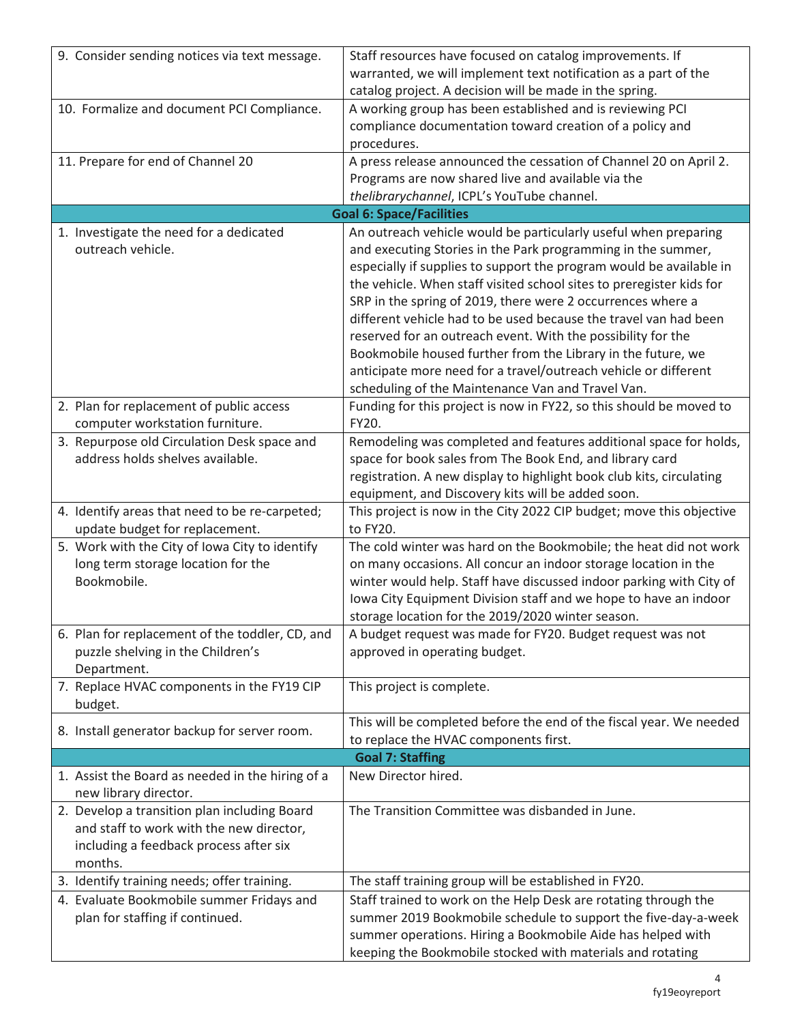| 9. Consider sending notices via text message.    | Staff resources have focused on catalog improvements. If             |
|--------------------------------------------------|----------------------------------------------------------------------|
|                                                  | warranted, we will implement text notification as a part of the      |
|                                                  | catalog project. A decision will be made in the spring.              |
| 10. Formalize and document PCI Compliance.       | A working group has been established and is reviewing PCI            |
|                                                  | compliance documentation toward creation of a policy and             |
|                                                  | procedures.                                                          |
| 11. Prepare for end of Channel 20                | A press release announced the cessation of Channel 20 on April 2.    |
|                                                  | Programs are now shared live and available via the                   |
|                                                  | thelibrarychannel, ICPL's YouTube channel.                           |
|                                                  | <b>Goal 6: Space/Facilities</b>                                      |
| 1. Investigate the need for a dedicated          | An outreach vehicle would be particularly useful when preparing      |
| outreach vehicle.                                | and executing Stories in the Park programming in the summer,         |
|                                                  | especially if supplies to support the program would be available in  |
|                                                  | the vehicle. When staff visited school sites to preregister kids for |
|                                                  | SRP in the spring of 2019, there were 2 occurrences where a          |
|                                                  | different vehicle had to be used because the travel van had been     |
|                                                  | reserved for an outreach event. With the possibility for the         |
|                                                  | Bookmobile housed further from the Library in the future, we         |
|                                                  | anticipate more need for a travel/outreach vehicle or different      |
|                                                  | scheduling of the Maintenance Van and Travel Van.                    |
| 2. Plan for replacement of public access         | Funding for this project is now in FY22, so this should be moved to  |
| computer workstation furniture.                  | FY20.                                                                |
| 3. Repurpose old Circulation Desk space and      | Remodeling was completed and features additional space for holds,    |
| address holds shelves available.                 | space for book sales from The Book End, and library card             |
|                                                  | registration. A new display to highlight book club kits, circulating |
|                                                  | equipment, and Discovery kits will be added soon.                    |
| 4. Identify areas that need to be re-carpeted;   | This project is now in the City 2022 CIP budget; move this objective |
| update budget for replacement.                   | to FY20.                                                             |
| 5. Work with the City of Iowa City to identify   | The cold winter was hard on the Bookmobile; the heat did not work    |
| long term storage location for the               | on many occasions. All concur an indoor storage location in the      |
| Bookmobile.                                      | winter would help. Staff have discussed indoor parking with City of  |
|                                                  | Iowa City Equipment Division staff and we hope to have an indoor     |
|                                                  | storage location for the 2019/2020 winter season.                    |
| 6. Plan for replacement of the toddler, CD, and  | A budget request was made for FY20. Budget request was not           |
| puzzle shelving in the Children's                | approved in operating budget.                                        |
| Department.                                      |                                                                      |
| 7. Replace HVAC components in the FY19 CIP       | This project is complete.                                            |
| budget.                                          |                                                                      |
| 8. Install generator backup for server room.     | This will be completed before the end of the fiscal year. We needed  |
|                                                  | to replace the HVAC components first.                                |
|                                                  | <b>Goal 7: Staffing</b>                                              |
| 1. Assist the Board as needed in the hiring of a | New Director hired.                                                  |
| new library director.                            |                                                                      |
| 2. Develop a transition plan including Board     | The Transition Committee was disbanded in June.                      |
| and staff to work with the new director,         |                                                                      |
| including a feedback process after six           |                                                                      |
| months.                                          |                                                                      |
| 3. Identify training needs; offer training.      | The staff training group will be established in FY20.                |
| 4. Evaluate Bookmobile summer Fridays and        | Staff trained to work on the Help Desk are rotating through the      |
| plan for staffing if continued.                  | summer 2019 Bookmobile schedule to support the five-day-a-week       |
|                                                  | summer operations. Hiring a Bookmobile Aide has helped with          |
|                                                  | keeping the Bookmobile stocked with materials and rotating           |